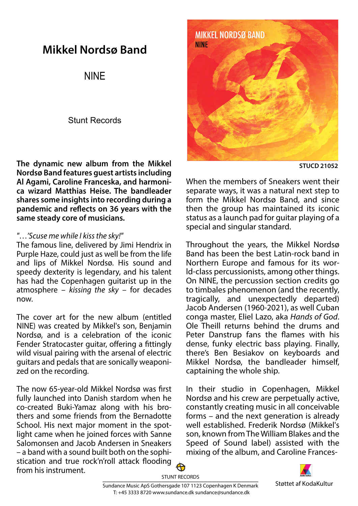## Mikkel Nordsø Band

NINE

## Stunt Records

The dynamic new album from the Mikkel Nordsø Band features guest artists including Al Agami, Caroline Franceska, and harmonica wizard Matthias Heise. The bandleader shares some insights into recording during a pandemic and reflects on 36 years with the same steady core of musicians.

## "...'Scuse me while I kiss the sky!"

The famous line, delivered by Jimi Hendrix in Purple Haze, could just as well be from the life and lips of Mikkel Nordsø. His sound and speedy dexterity is legendary, and his talent has had the Copenhagen guitarist up in the atmosphere  $-$  *kissing the sky – for decades* now.

The cover art for the new album (entitled NINE) was created by Mikkel's son, Benjamin Nordsø, and is a celebration of the iconic Fender Stratocaster guitar, offering a fittingly wild visual pairing with the arsenal of electric guitars and pedals that are sonically weaponized on the recording.

The now 65-year-old Mikkel Nordsø was first fully launched into Danish stardom when he co-created Buki-Yamaz along with his brothers and some friends from the Bernadotte School. His next major moment in the spotlight came when he joined forces with Sanne Salomonsen and Jacob Andersen in Sneakers – a band with a sound built both on the sophistication and true rock'n'roll attack flooding from his instrument.



**STUCD 21052** 

When the members of Sneakers went their separate ways, it was a natural next step to form the Mikkel Nordsø Band, and since then the group has maintained its iconic status as a launch pad for guitar playing of a special and singular standard.

Throughout the years, the Mikkel Nordsø Band has been the best Latin-rock band in Northern Europe and famous for its world-class percussionists, among other things. On NINE, the percussion section credits go to timbales phenomenon (and the recently, tragically, and unexpectedly departed) Jacob Andersen (1960-2021), as well Cuban conga master, Eliel Lazo, aka Hands of God. Ole Theill returns behind the drums and Peter Danstrup fans the flames with his dense, funky electric bass playing. Finally, there's Ben Besiakov on keyboards and Mikkel Nordsø, the bandleader himself, captaining the whole ship.

In their studio in Copenhagen, Mikkel Nordsø and his crew are perpetually active, constantly creating music in all conceivable forms – and the next generation is already well established. Frederik Nordsø (Mikkel's son, known from The William Blakes and the Speed of Sound label) assisted with the mixing of the album, and Caroline Frances-



Støttet af KodaKultur Sundance Music ApS Gothersgade 107 1123 Copenhagen K Denmark STUNT RECORDS